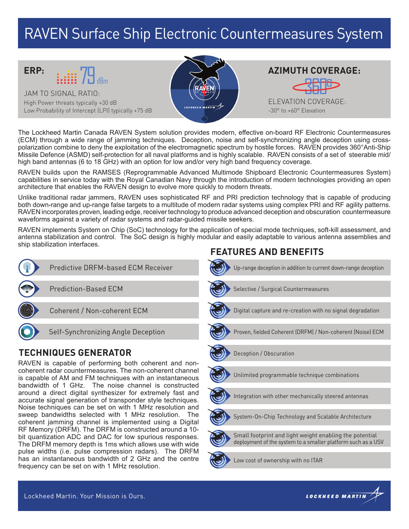# RAVEN Surface Ship Electronic Countermeasures System



JAM TO SIGNAL RATIO: High Power threats typically +30 dB Low Probability of Intercept (LPI) typically +75 dB





The Lockheed Martin Canada RAVEN System solution provides modern, effective on-board RF Electronic Countermeasures (ECM) through a wide range of jamming techniques. Deception, noise and self-synchronizing angle deception using crosspolarization combine to deny the exploitation of the electromagnetic spectrum by hostile forces. RAVEN provides 360°Anti-Ship Missile Defence (ASMD) self-protection for all naval platforms and is highly scalable. RAVEN consists of a set of steerable mid/ high band antennas (6 to 18 GHz) with an option for low and/or very high band frequency coverage.

RAVEN builds upon the RAMSES (Reprogrammable Advanced Multimode Shipboard Electronic Countermeasures System) capabilities in service today with the Royal Canadian Navy through the introduction of modern technologies providing an open architecture that enables the RAVEN design to evolve more quickly to modern threats.

Unlike traditional radar jammers, RAVEN uses sophisticated RF and PRI prediction technology that is capable of producing both down-range and up-range false targets to a multitude of modern radar systems using complex PRI and RF agility patterns. RAVEN incorporates proven, leading edge, receiver technology to produce advanced deception and obscuration countermeasure waveforms against a variety of radar systems and radar-guided missile seekers.

RAVEN implements System on Chip (SoC) technology for the application of special mode techniques, soft-kill assessment, and antenna stabilization and control. The SoC design is highly modular and easily adaptable to various antenna assemblies and ship stabilization interfaces.



### **TECHNIQUES GENERATOR**

RAVEN is capable of performing both coherent and noncoherent radar countermeasures. The non-coherent channel is capable of AM and FM techniques with an instantaneous bandwidth of 1 GHz. The noise channel is constructed around a direct digital synthesizer for extremely fast and accurate signal generation of transponder style techniques. Noise techniques can be set on with 1 MHz resolution and sweep bandwidths selected with 1 MHz resolution. The coherent jamming channel is implemented using a Digital RF Memory (DRFM). The DRFM is constructed around a 10 bit quantization ADC and DAC for low spurious responses. The DRFM memory depth is 1ms which allows use with wide pulse widths (i.e. pulse compression radars). The DRFM has an instantaneous bandwidth of 2 GHz and the centre frequency can be set on with 1 MHz resolution.

## **FEATURES AND BENEFITS**